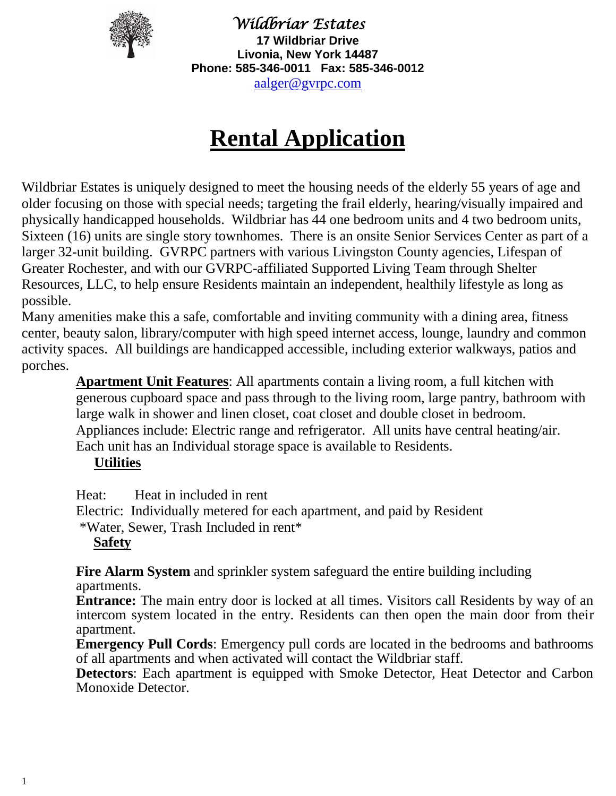

*Wildbriar Estates* **17 Wildbriar Drive Livonia, New York 14487 Phone: 585-346-0011 Fax: 585-346-0012** [aalger@gvrpc.com](mailto:aalger@gvrpc.com)

# **Rental Application**

Wildbriar Estates is uniquely designed to meet the housing needs of the elderly 55 years of age and older focusing on those with special needs; targeting the frail elderly, hearing/visually impaired and physically handicapped households. Wildbriar has 44 one bedroom units and 4 two bedroom units, Sixteen (16) units are single story townhomes. There is an onsite Senior Services Center as part of a larger 32-unit building. GVRPC partners with various Livingston County agencies, Lifespan of Greater Rochester, and with our GVRPC-affiliated Supported Living Team through Shelter Resources, LLC, to help ensure Residents maintain an independent, healthily lifestyle as long as possible.

Many amenities make this a safe, comfortable and inviting community with a dining area, fitness center, beauty salon, library/computer with high speed internet access, lounge, laundry and common activity spaces. All buildings are handicapped accessible, including exterior walkways, patios and porches.

**Apartment Unit Features**: All apartments contain a living room, a full kitchen with generous cupboard space and pass through to the living room, large pantry, bathroom with large walk in shower and linen closet, coat closet and double closet in bedroom. Appliances include: Electric range and refrigerator. All units have central heating/air. Each unit has an Individual storage space is available to Residents.

### **Utilities**

Heat: Heat in included in rent

Electric: Individually metered for each apartment, and paid by Resident

\*Water, Sewer, Trash Included in rent\*

### **Safety**

**Fire Alarm System** and sprinkler system safeguard the entire building including apartments.

**Entrance:** The main entry door is locked at all times. Visitors call Residents by way of an intercom system located in the entry. Residents can then open the main door from their apartment.

**Emergency Pull Cords**: Emergency pull cords are located in the bedrooms and bathrooms of all apartments and when activated will contact the Wildbriar staff.

**Detectors**: Each apartment is equipped with Smoke Detector, Heat Detector and Carbon Monoxide Detector.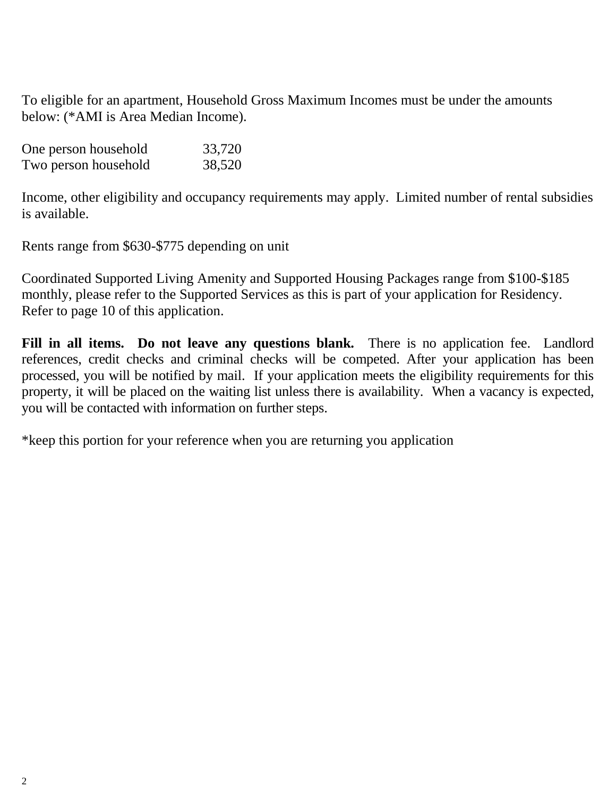To eligible for an apartment, Household Gross Maximum Incomes must be under the amounts below: (\*AMI is Area Median Income).

| One person household | 33,720 |
|----------------------|--------|
| Two person household | 38,520 |

Income, other eligibility and occupancy requirements may apply. Limited number of rental subsidies is available.

Rents range from \$630-\$775 depending on unit

Coordinated Supported Living Amenity and Supported Housing Packages range from \$100-\$185 monthly, please refer to the Supported Services as this is part of your application for Residency. Refer to page 10 of this application.

Fill in all items. Do not leave any questions blank. There is no application fee. Landlord references, credit checks and criminal checks will be competed. After your application has been processed, you will be notified by mail. If your application meets the eligibility requirements for this property, it will be placed on the waiting list unless there is availability. When a vacancy is expected, you will be contacted with information on further steps.

\*keep this portion for your reference when you are returning you application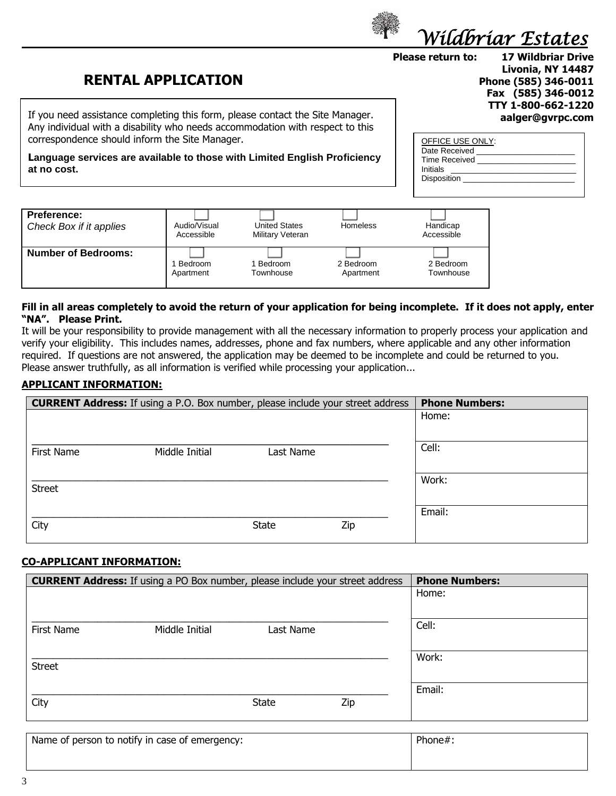

**RENTAL APPLICATION**

If you need assistance completing this form, please contact the Site Manager. Any individual with a disability who needs accommodation with respect to this correspondence should inform the Site Manager.

**Language services are available to those with Limited English Proficiency at no cost.**

**Please return to: 17 Wildbriar Drive Livonia, NY 14487 Phone (585) 346-0011 Fax (585) 346-0012 TTY 1-800-662-1220 aalger@gvrpc.com**

| OFFICE USE ONLY:     |
|----------------------|
|                      |
| Date Received        |
| <b>Time Received</b> |
|                      |
| Initials             |
| Disposition          |
|                      |
|                      |

| <b>Preference:</b>         | Audio/Visual | <b>United States</b> | Homeless  | Handicap   |
|----------------------------|--------------|----------------------|-----------|------------|
| Check Box if it applies    | Accessible   | Military Veteran     |           | Accessible |
| <b>Number of Bedrooms:</b> | Bedroom      | Bedroom              | 2 Bedroom | 2 Bedroom  |
|                            | Apartment    | Townhouse            | Apartment | Townhouse  |

#### **Fill in all areas completely to avoid the return of your application for being incomplete. If it does not apply, enter "NA". Please Print.**

It will be your responsibility to provide management with all the necessary information to properly process your application and verify your eligibility. This includes names, addresses, phone and fax numbers, where applicable and any other information required. If questions are not answered, the application may be deemed to be incomplete and could be returned to you. Please answer truthfully, as all information is verified while processing your application...

#### **APPLICANT INFORMATION:**

|               | <b>CURRENT Address:</b> If using a P.O. Box number, please include your street address |           |     | <b>Phone Numbers:</b> |
|---------------|----------------------------------------------------------------------------------------|-----------|-----|-----------------------|
|               |                                                                                        |           |     | Home:                 |
|               |                                                                                        |           |     |                       |
| First Name    | Middle Initial                                                                         | Last Name |     | Cell:                 |
|               |                                                                                        |           |     |                       |
| <b>Street</b> |                                                                                        |           |     | Work:                 |
|               |                                                                                        |           |     | Email:                |
| City          |                                                                                        | State     | Zip |                       |

#### **CO-APPLICANT INFORMATION:**

|               | <b>CURRENT Address:</b> If using a PO Box number, please include your street address |              |     | <b>Phone Numbers:</b> |
|---------------|--------------------------------------------------------------------------------------|--------------|-----|-----------------------|
|               |                                                                                      |              |     | Home:                 |
|               |                                                                                      |              |     |                       |
| First Name    | Middle Initial                                                                       | Last Name    |     | Cell:                 |
|               |                                                                                      |              |     | Work:                 |
| <b>Street</b> |                                                                                      |              |     |                       |
|               |                                                                                      |              |     | Email:                |
| City          |                                                                                      | <b>State</b> | Zip |                       |
|               |                                                                                      |              |     |                       |

| Name of person to notify in case of emergency: | Phone#: |
|------------------------------------------------|---------|
|                                                |         |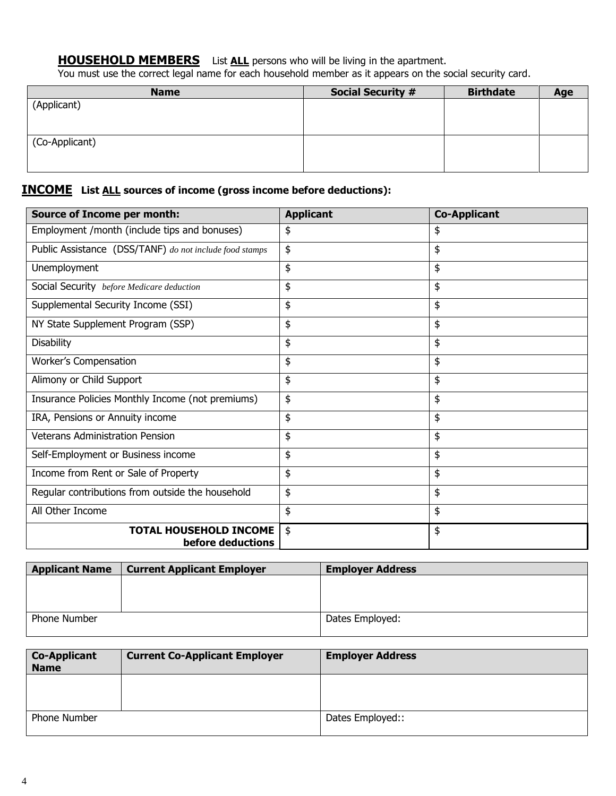**HOUSEHOLD MEMBERS** List ALL persons who will be living in the apartment.

You must use the correct legal name for each household member as it appears on the social security card.

| <b>Name</b>    | <b>Social Security #</b> | <b>Birthdate</b> | Age |
|----------------|--------------------------|------------------|-----|
| (Applicant)    |                          |                  |     |
|                |                          |                  |     |
|                |                          |                  |     |
| (Co-Applicant) |                          |                  |     |
|                |                          |                  |     |
|                |                          |                  |     |

#### **INCOME List ALL sources of income (gross income before deductions):**

| <b>Source of Income per month:</b>                      | <b>Applicant</b> | <b>Co-Applicant</b> |
|---------------------------------------------------------|------------------|---------------------|
| Employment /month (include tips and bonuses)            | \$               | \$                  |
| Public Assistance (DSS/TANF) do not include food stamps | \$               | \$                  |
| Unemployment                                            | \$               | \$                  |
| Social Security before Medicare deduction               | \$               | \$                  |
| Supplemental Security Income (SSI)                      | \$               | \$                  |
| NY State Supplement Program (SSP)                       | \$               | \$                  |
| <b>Disability</b>                                       | \$               | \$                  |
| Worker's Compensation                                   | \$               | \$                  |
| Alimony or Child Support                                | \$               | \$                  |
| Insurance Policies Monthly Income (not premiums)        | \$               | \$                  |
| IRA, Pensions or Annuity income                         | \$               | \$                  |
| <b>Veterans Administration Pension</b>                  | \$               | \$                  |
| Self-Employment or Business income                      | \$               | \$                  |
| Income from Rent or Sale of Property                    | \$               | \$                  |
| Regular contributions from outside the household        | \$               | \$                  |
| All Other Income                                        | \$               | \$                  |
| <b>TOTAL HOUSEHOLD INCOME</b><br>before deductions      | \$               | \$                  |

| <b>Applicant Name</b> | <b>Current Applicant Employer</b> | <b>Employer Address</b> |
|-----------------------|-----------------------------------|-------------------------|
|                       |                                   |                         |
|                       |                                   |                         |
|                       |                                   |                         |
| <b>Phone Number</b>   |                                   | Dates Employed:         |
|                       |                                   |                         |

| <b>Co-Applicant</b><br><b>Name</b> | <b>Current Co-Applicant Employer</b> | <b>Employer Address</b> |
|------------------------------------|--------------------------------------|-------------------------|
|                                    |                                      |                         |
| Phone Number                       |                                      | Dates Employed::        |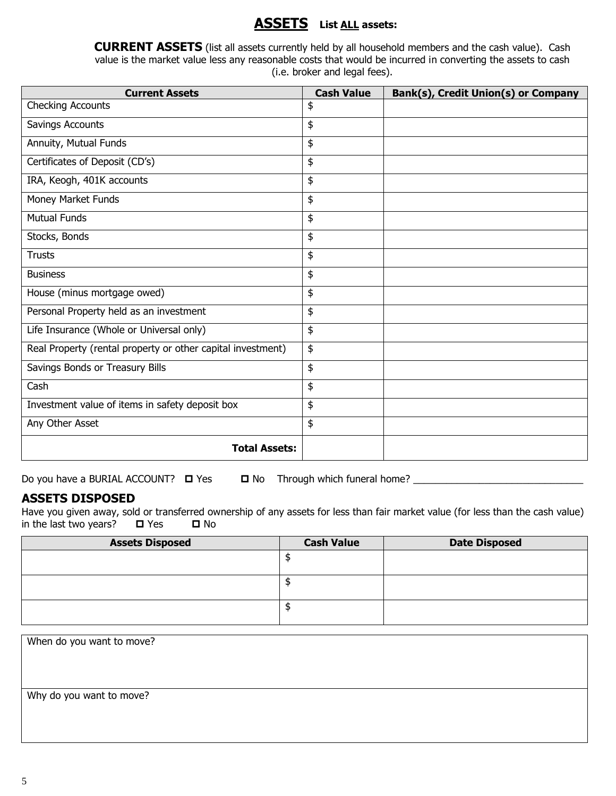### **ASSETS List ALL assets:**

**CURRENT ASSETS** (list all assets currently held by all household members and the cash value). Cash value is the market value less any reasonable costs that would be incurred in converting the assets to cash (i.e. broker and legal fees).

| <b>Current Assets</b>                                       | <b>Cash Value</b> | Bank(s), Credit Union(s) or Company |
|-------------------------------------------------------------|-------------------|-------------------------------------|
| <b>Checking Accounts</b>                                    | \$                |                                     |
| Savings Accounts                                            | \$                |                                     |
| Annuity, Mutual Funds                                       | \$                |                                     |
| Certificates of Deposit (CD's)                              | \$                |                                     |
| IRA, Keogh, 401K accounts                                   | \$                |                                     |
| Money Market Funds                                          | \$                |                                     |
| <b>Mutual Funds</b>                                         | \$                |                                     |
| Stocks, Bonds                                               | \$                |                                     |
| <b>Trusts</b>                                               | \$                |                                     |
| <b>Business</b>                                             | \$                |                                     |
| House (minus mortgage owed)                                 | \$                |                                     |
| Personal Property held as an investment                     | \$                |                                     |
| Life Insurance (Whole or Universal only)                    | \$                |                                     |
| Real Property (rental property or other capital investment) | \$                |                                     |
| Savings Bonds or Treasury Bills                             | \$                |                                     |
| Cash                                                        | \$                |                                     |
| Investment value of items in safety deposit box             | \$                |                                     |
| Any Other Asset                                             | \$                |                                     |
| <b>Total Assets:</b>                                        |                   |                                     |

Do you have a BURIAL ACCOUNT? Yes No Through which funeral home? \_\_\_\_\_\_\_\_\_\_\_\_\_\_\_\_\_\_\_\_\_\_\_\_\_\_\_\_\_\_\_

#### **ASSETS DISPOSED**

Have you given away, sold or transferred ownership of any assets for less than fair market value (for less than the cash value) in the last two years?  $\Box$  Yes  $\Box$  No

| <b>Assets Disposed</b> | <b>Cash Value</b> | <b>Date Disposed</b> |
|------------------------|-------------------|----------------------|
|                        |                   |                      |
|                        |                   |                      |
|                        |                   |                      |
|                        |                   |                      |
|                        |                   |                      |
|                        |                   |                      |

When do you want to move? Why do you want to move?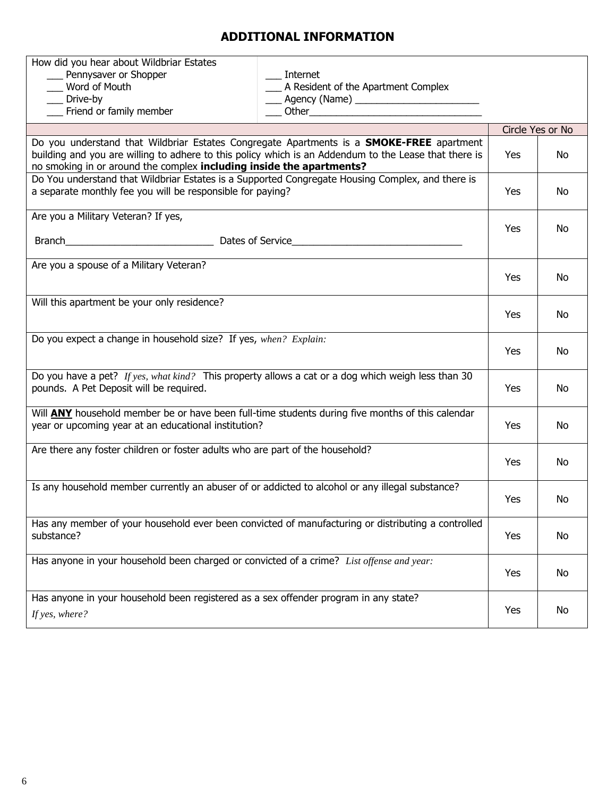### **ADDITIONAL INFORMATION**

| How did you hear about Wildbriar Estates                                                                                                                                      |                                                       |                  |     |
|-------------------------------------------------------------------------------------------------------------------------------------------------------------------------------|-------------------------------------------------------|------------------|-----|
| ___ Pennysaver or Shopper<br>Internet                                                                                                                                         |                                                       |                  |     |
| __ Word of Mouth                                                                                                                                                              | __ A Resident of the Apartment Complex                |                  |     |
| ___ Drive-by                                                                                                                                                                  | <b>____</b> Agency (Name) ___________________________ |                  |     |
| __ Friend or family member                                                                                                                                                    |                                                       |                  |     |
|                                                                                                                                                                               |                                                       | Circle Yes or No |     |
| Do you understand that Wildbriar Estates Congregate Apartments is a <b>SMOKE-FREE</b> apartment                                                                               |                                                       |                  |     |
| building and you are willing to adhere to this policy which is an Addendum to the Lease that there is<br>no smoking in or around the complex including inside the apartments? |                                                       | Yes              | No  |
| Do You understand that Wildbriar Estates is a Supported Congregate Housing Complex, and there is                                                                              |                                                       |                  |     |
| a separate monthly fee you will be responsible for paying?                                                                                                                    |                                                       | Yes              | No  |
| Are you a Military Veteran? If yes,                                                                                                                                           |                                                       |                  |     |
|                                                                                                                                                                               |                                                       | Yes              | No  |
|                                                                                                                                                                               |                                                       |                  |     |
| Are you a spouse of a Military Veteran?                                                                                                                                       |                                                       |                  |     |
|                                                                                                                                                                               |                                                       | Yes              | No  |
|                                                                                                                                                                               |                                                       |                  |     |
| Will this apartment be your only residence?                                                                                                                                   |                                                       | Yes              | No  |
|                                                                                                                                                                               |                                                       |                  |     |
| Do you expect a change in household size? If yes, when? Explain:                                                                                                              |                                                       |                  |     |
|                                                                                                                                                                               |                                                       | Yes              | No  |
|                                                                                                                                                                               |                                                       |                  |     |
| Do you have a pet? If yes, what kind? This property allows a cat or a dog which weigh less than 30<br>pounds. A Pet Deposit will be required.                                 |                                                       | Yes              | No  |
|                                                                                                                                                                               |                                                       |                  |     |
| Will <b>ANY</b> household member be or have been full-time students during five months of this calendar                                                                       |                                                       |                  |     |
| year or upcoming year at an educational institution?                                                                                                                          |                                                       | Yes              | No  |
| Are there any foster children or foster adults who are part of the household?                                                                                                 |                                                       |                  |     |
|                                                                                                                                                                               |                                                       | Yes              | No  |
|                                                                                                                                                                               |                                                       |                  |     |
| Is any household member currently an abuser of or addicted to alcohol or any illegal substance?                                                                               |                                                       |                  |     |
|                                                                                                                                                                               |                                                       | Yes              | No. |
| Has any member of your household ever been convicted of manufacturing or distributing a controlled                                                                            |                                                       |                  |     |
| substance?                                                                                                                                                                    |                                                       | Yes              | No  |
|                                                                                                                                                                               |                                                       |                  |     |
| Has anyone in your household been charged or convicted of a crime? List offense and year:                                                                                     |                                                       |                  |     |
|                                                                                                                                                                               |                                                       | Yes              | No  |
| Has anyone in your household been registered as a sex offender program in any state?                                                                                          |                                                       |                  |     |
| If yes, where?                                                                                                                                                                |                                                       | Yes              | No  |
|                                                                                                                                                                               |                                                       |                  |     |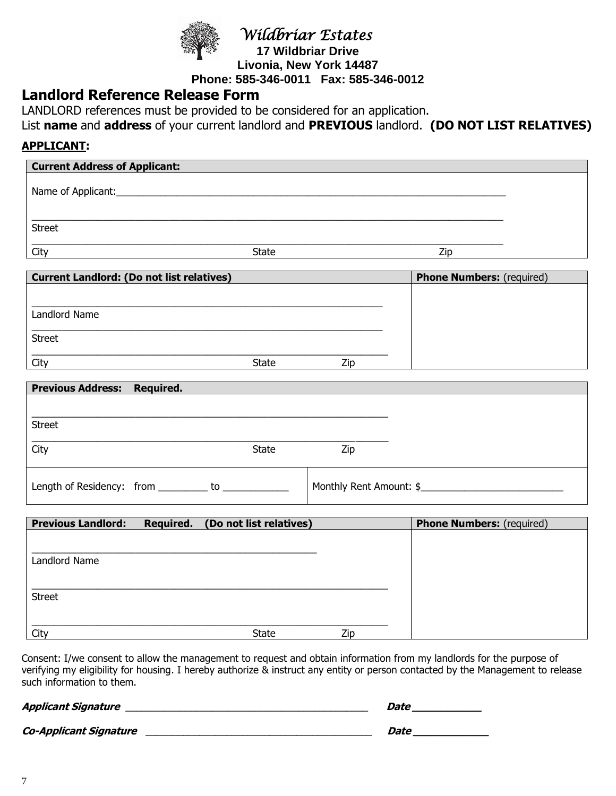

 *Wildbriar Estates*

**17 Wildbriar Drive Livonia, New York 14487 Phone: 585-346-0011 Fax: 585-346-0012**

### **Landlord Reference Release Form**

LANDLORD references must be provided to be considered for an application.

List **name** and **address** of your current landlord and **PREVIOUS** landlord. **(DO NOT LIST RELATIVES)**

### **APPLICANT:**

| <b>Current Address of Applicant:</b>                |           |                         |                         |                                  |  |
|-----------------------------------------------------|-----------|-------------------------|-------------------------|----------------------------------|--|
|                                                     |           |                         |                         |                                  |  |
| <b>Street</b>                                       |           |                         |                         |                                  |  |
| City                                                |           | State                   |                         | Zip                              |  |
| <b>Current Landlord: (Do not list relatives)</b>    |           |                         |                         | <b>Phone Numbers:</b> (required) |  |
|                                                     |           |                         |                         |                                  |  |
| Landlord Name                                       |           |                         |                         |                                  |  |
| <b>Street</b>                                       |           |                         |                         |                                  |  |
| City                                                |           | State                   | Zip                     |                                  |  |
| Previous Address: Required.                         |           |                         |                         |                                  |  |
|                                                     |           |                         |                         |                                  |  |
| <b>Street</b>                                       |           |                         |                         |                                  |  |
| City                                                |           | <b>State</b>            | Zip                     |                                  |  |
| Length of Residency: from _________ to ____________ |           |                         | Monthly Rent Amount: \$ |                                  |  |
|                                                     |           |                         |                         |                                  |  |
| <b>Previous Landlord:</b>                           | Required. | (Do not list relatives) |                         | <b>Phone Numbers:</b> (required) |  |
| Landlord Name                                       |           |                         |                         |                                  |  |
| <b>Street</b>                                       |           |                         |                         |                                  |  |
| City                                                |           | <b>State</b>            | Zip                     |                                  |  |

Consent: I/we consent to allow the management to request and obtain information from my landlords for the purpose of verifying my eligibility for housing. I hereby authorize & instruct any entity or person contacted by the Management to release such information to them.

| Applicant Signature           | Date |
|-------------------------------|------|
| <b>Co-Applicant Signature</b> | Date |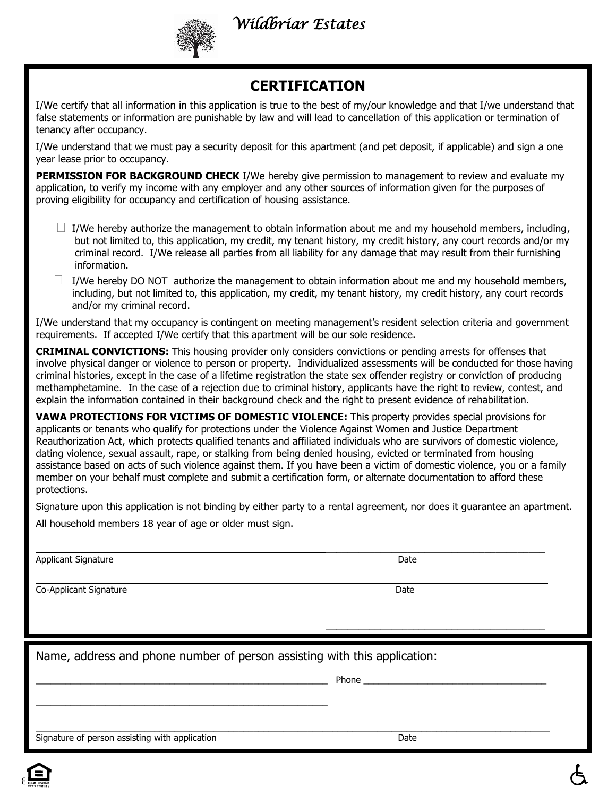*Wildbriar Estates*

# **CERTIFICATION**

I/We certify that all information in this application is true to the best of my/our knowledge and that I/we understand that false statements or information are punishable by law and will lead to cancellation of this application or termination of tenancy after occupancy.

I/We understand that we must pay a security deposit for this apartment (and pet deposit, if applicable) and sign a one year lease prior to occupancy.

**PERMISSION FOR BACKGROUND CHECK** I/We hereby give permission to management to review and evaluate my application, to verify my income with any employer and any other sources of information given for the purposes of proving eligibility for occupancy and certification of housing assistance.

- $\Box$  I/We hereby authorize the management to obtain information about me and my household members, including, but not limited to, this application, my credit, my tenant history, my credit history, any court records and/or my criminal record. I/We release all parties from all liability for any damage that may result from their furnishing information.
- $\Box$  I/We hereby DO NOT authorize the management to obtain information about me and my household members, including, but not limited to, this application, my credit, my tenant history, my credit history, any court records and/or my criminal record.

I/We understand that my occupancy is contingent on meeting management's resident selection criteria and government requirements. If accepted I/We certify that this apartment will be our sole residence.

**CRIMINAL CONVICTIONS:** This housing provider only considers convictions or pending arrests for offenses that involve physical danger or violence to person or property. Individualized assessments will be conducted for those having criminal histories, except in the case of a lifetime registration the state sex offender registry or conviction of producing methamphetamine. In the case of a rejection due to criminal history, applicants have the right to review, contest, and explain the information contained in their background check and the right to present evidence of rehabilitation.

**VAWA PROTECTIONS FOR VICTIMS OF DOMESTIC VIOLENCE:** This property provides special provisions for applicants or tenants who qualify for protections under the Violence Against Women and Justice Department Reauthorization Act, which protects qualified tenants and affiliated individuals who are survivors of domestic violence, dating violence, sexual assault, rape, or stalking from being denied housing, evicted or terminated from housing assistance based on acts of such violence against them. If you have been a victim of domestic violence, you or a family member on your behalf must complete and submit a certification form, or alternate documentation to afford these protections.

Signature upon this application is not binding by either party to a rental agreement, nor does it guarantee an apartment.

\_\_\_\_\_\_\_\_\_\_\_\_\_\_\_\_\_\_\_\_\_\_\_\_\_\_\_\_\_\_\_\_\_\_\_\_\_\_\_\_\_\_\_\_\_\_\_\_\_\_\_\_\_\_\_\_\_\_\_\_\_\_\_\_\_\_\_\_\_\_\_\_\_\_\_\_\_\_\_\_\_\_\_\_\_\_\_\_\_\_\_\_\_\_\_\_\_\_\_\_\_\_\_\_

All household members 18 year of age or older must sign.

\_\_\_\_\_\_\_\_\_\_\_\_\_\_\_\_\_\_\_\_\_\_\_\_\_\_\_\_\_\_\_\_\_\_\_\_\_\_\_\_\_\_\_\_\_\_\_\_\_\_\_\_\_\_\_\_\_\_\_

Applicant Signature Date Date of the United States of the United States of the Date Date

Co-Applicant Signature **Date** Date of Contract of Contract of Contract of Contract of Contract of Contract of Contract of Contract of Contract of Contract of Contract of Contract of Contract of Contract of Contract of Cont

Name, address and phone number of person assisting with this application:

Applicant Signature Date

Co-Applicant Signature Date \_\_\_\_\_\_\_\_\_\_\_\_\_\_\_\_\_\_\_\_\_\_\_\_\_\_\_\_\_\_\_\_\_\_\_\_\_\_\_\_\_\_\_\_\_\_\_\_\_\_\_\_\_\_\_\_\_\_\_ Phone \_\_\_\_\_\_\_\_\_\_\_\_\_\_\_\_\_\_\_\_\_\_\_\_\_\_\_\_\_\_\_\_\_\_\_\_\_

Signature of person assisting with application Date Date of Date Date Date



 $\overline{\phantom{a}}$ 

\_\_\_\_\_\_\_\_\_\_\_\_\_\_\_\_\_\_\_\_\_\_\_\_\_\_\_\_\_\_\_\_\_\_\_\_\_\_\_\_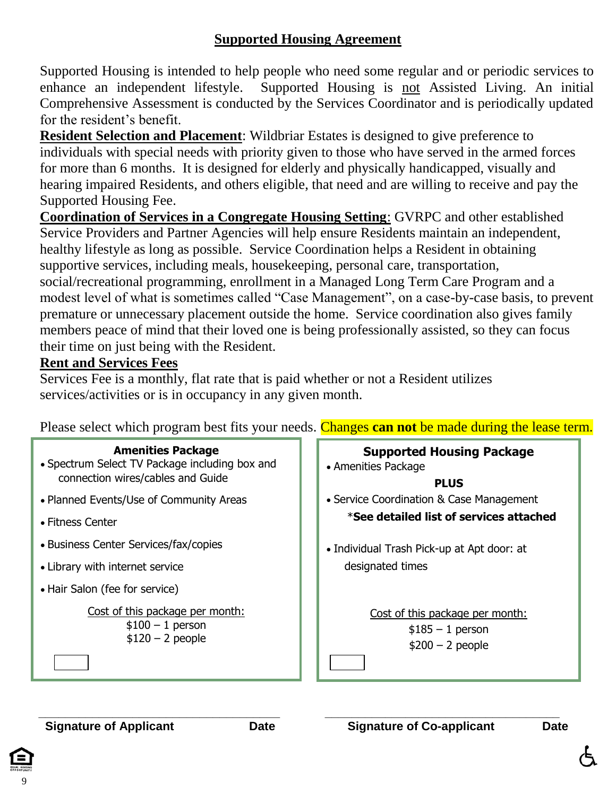### **Supported Housing Agreement**

Supported Housing is intended to help people who need some regular and or periodic services to enhance an independent lifestyle. Supported Housing is not Assisted Living. An initial Comprehensive Assessment is conducted by the Services Coordinator and is periodically updated for the resident's benefit.

**Resident Selection and Placement**: Wildbriar Estates is designed to give preference to individuals with special needs with priority given to those who have served in the armed forces for more than 6 months. It is designed for elderly and physically handicapped, visually and hearing impaired Residents, and others eligible, that need and are willing to receive and pay the Supported Housing Fee.

**Coordination of Services in a Congregate Housing Setting**: GVRPC and other established Service Providers and Partner Agencies will help ensure Residents maintain an independent, healthy lifestyle as long as possible. Service Coordination helps a Resident in obtaining supportive services, including meals, housekeeping, personal care, transportation, social/recreational programming, enrollment in a Managed Long Term Care Program and a modest level of what is sometimes called "Case Management", on a case-by-case basis, to prevent premature or unnecessary placement outside the home. Service coordination also gives family members peace of mind that their loved one is being professionally assisted, so they can focus their time on just being with the Resident.

### **Rent and Services Fees**

Services Fee is a monthly, flat rate that is paid whether or not a Resident utilizes services/activities or is in occupancy in any given month.

| <b>Amenities Package</b><br>• Spectrum Select TV Package including box and<br>connection wires/cables and Guide | <b>Supported Housing Package</b><br>• Amenities Package<br><b>PLUS</b>    |
|-----------------------------------------------------------------------------------------------------------------|---------------------------------------------------------------------------|
| • Planned Events/Use of Community Areas                                                                         | • Service Coordination & Case Management                                  |
| $\bullet$ Fitness Center                                                                                        | *See detailed list of services attached                                   |
| • Business Center Services/fax/copies                                                                           | • Individual Trash Pick-up at Apt door: at                                |
| • Library with internet service                                                                                 | designated times                                                          |
| • Hair Salon (fee for service)                                                                                  |                                                                           |
| Cost of this package per month:<br>$$100 - 1$ person<br>$$120 - 2$ people                                       | Cost of this package per month:<br>$$185 - 1$ person<br>$$200 - 2$ people |

Please select which program best fits your needs. Changes **can not** be made during the lease term.

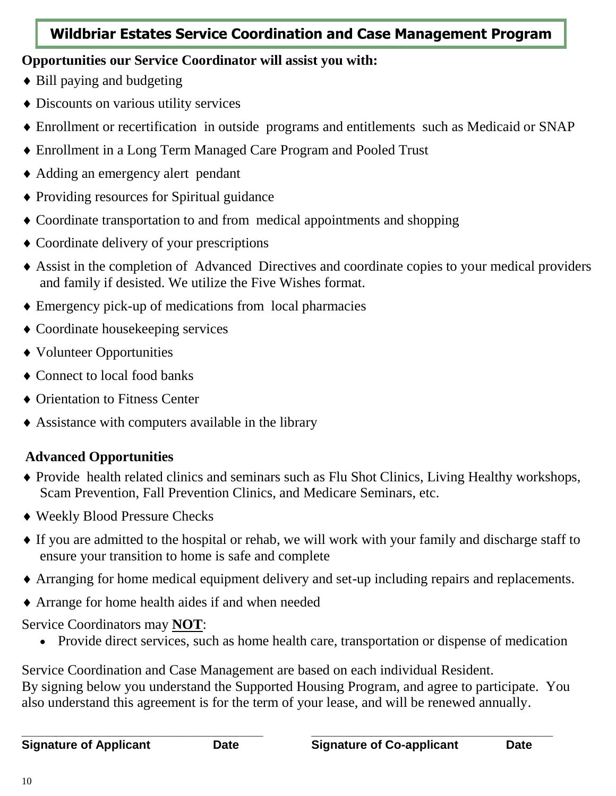# **Wildbriar Estates Service Coordination and Case Management Program**

# **Opportunities our Service Coordinator will assist you with:**

- Bill paying and budgeting
- Discounts on various utility services
- Enrollment or recertification in outside programs and entitlements such as Medicaid or SNAP
- Enrollment in a Long Term Managed Care Program and Pooled Trust
- Adding an emergency alert pendant
- Providing resources for Spiritual guidance
- Coordinate transportation to and from medical appointments and shopping
- Coordinate delivery of your prescriptions
- Assist in the completion of Advanced Directives and coordinate copies to your medical providers and family if desisted. We utilize the Five Wishes format.
- Emergency pick-up of medications from local pharmacies
- Coordinate housekeeping services
- Volunteer Opportunities
- Connect to local food banks
- ◆ Orientation to Fitness Center
- Assistance with computers available in the library

# **Advanced Opportunities**

- Provide health related clinics and seminars such as Flu Shot Clinics, Living Healthy workshops, Scam Prevention, Fall Prevention Clinics, and Medicare Seminars, etc.
- Weekly Blood Pressure Checks
- If you are admitted to the hospital or rehab, we will work with your family and discharge staff to ensure your transition to home is safe and complete
- Arranging for home medical equipment delivery and set-up including repairs and replacements.
- Arrange for home health aides if and when needed

# Service Coordinators may **NOT**:

Provide direct services, such as home health care, transportation or dispense of medication

Service Coordination and Case Management are based on each individual Resident. By signing below you understand the Supported Housing Program, and agree to participate. You

also understand this agreement is for the term of your lease, and will be renewed annually.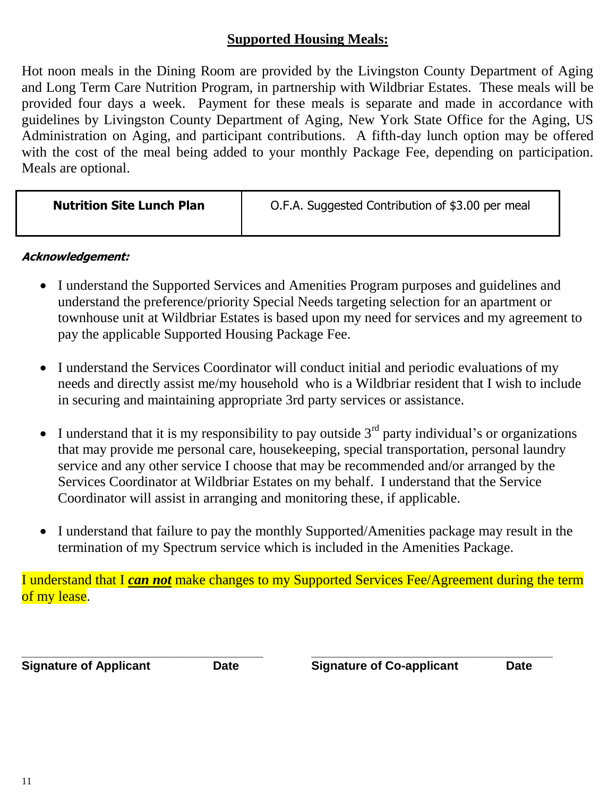### **Supported Housing Meals:**

Hot noon meals in the Dining Room are provided by the Livingston County Department of Aging and Long Term Care Nutrition Program, in partnership with Wildbriar Estates. These meals will be provided four days a week. Payment for these meals is separate and made in accordance with guidelines by Livingston County Department of Aging, New York State Office for the Aging, US Administration on Aging, and participant contributions. A fifth-day lunch option may be offered with the cost of the meal being added to your monthly Package Fee, depending on participation. Meals are optional.

| <b>Nutrition Site Lunch Plan</b> | O.F.A. Suggested Contribution of \$3.00 per meal |
|----------------------------------|--------------------------------------------------|
|                                  |                                                  |

### **Acknowledgement:**

- I understand the Supported Services and Amenities Program purposes and guidelines and understand the preference/priority Special Needs targeting selection for an apartment or townhouse unit at Wildbriar Estates is based upon my need for services and my agreement to pay the applicable Supported Housing Package Fee.
- I understand the Services Coordinator will conduct initial and periodic evaluations of my needs and directly assist me/my household who is a Wildbriar resident that I wish to include in securing and maintaining appropriate 3rd party services or assistance.
- I understand that it is my responsibility to pay outside  $3<sup>rd</sup>$  party individual's or organizations that may provide me personal care, housekeeping, special transportation, personal laundry service and any other service I choose that may be recommended and/or arranged by the Services Coordinator at Wildbriar Estates on my behalf. I understand that the Service Coordinator will assist in arranging and monitoring these, if applicable.
- I understand that failure to pay the monthly Supported/Amenities package may result in the termination of my Spectrum service which is included in the Amenities Package.

I understand that I *can not* make changes to my Supported Services Fee/Agreement during the term of my lease.

**\_\_\_\_\_\_\_\_\_\_\_\_\_\_\_\_\_\_\_\_\_\_\_\_\_\_\_\_\_\_\_\_\_\_\_\_ \_\_\_\_\_\_\_\_\_\_\_\_\_\_\_\_\_\_\_\_\_\_\_\_\_\_\_\_\_\_\_\_\_\_\_\_ Signature of Applicant Date Signature of Co-applicant Date**